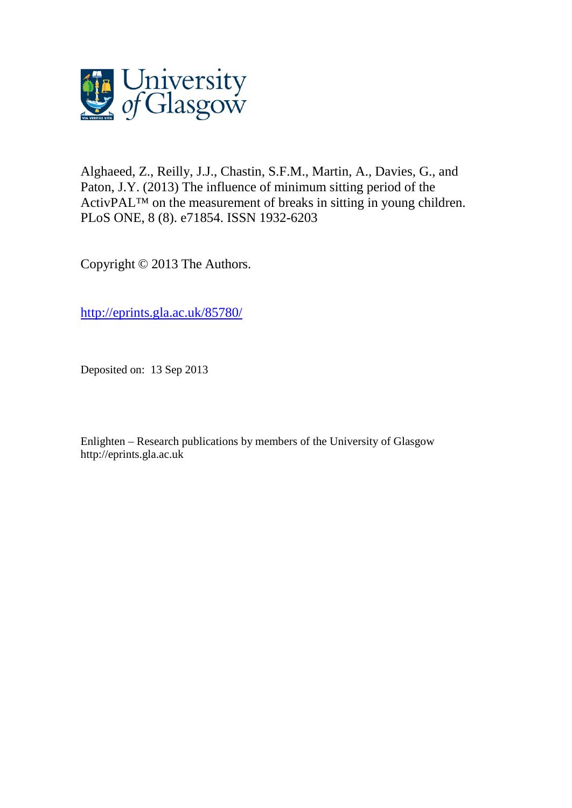

Alghaeed, Z., Reilly, J.J., Chastin, S.F.M., Martin, A., Davies, G., and Paton, J.Y. (2013) The influence of minimum sitting period of the ActivPAL™ on the measurement of breaks in sitting in young children. PLoS ONE, 8 (8). e71854. ISSN 1932-6203

Copyright © 2013 The Authors.

[http://eprints.gla.ac.uk/85780/](http://eprints.gla.ac.uk/85778/)

Deposited on: 13 Sep 2013

Enlighten – Research publications by members of the University of Glasgo[w](http://eprints.gla.ac.uk/) [http://eprints.gla.ac.uk](http://eprints.gla.ac.uk/)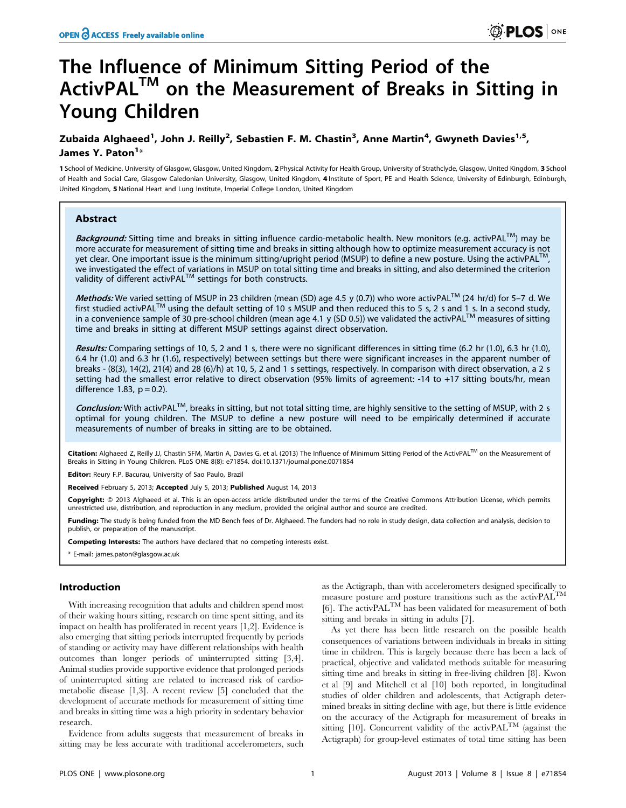# The Influence of Minimum Sitting Period of the ActivPAL<sup>™</sup> on the Measurement of Breaks in Sitting in Young Children

## Zubaida Alghaeed<sup>1</sup>, John J. Reilly<sup>2</sup>, Sebastien F. M. Chastin<sup>3</sup>, Anne Martin<sup>4</sup>, Gwyneth Davies<sup>1,5</sup>, James Y. Paton<sup>1</sup>\*

1 School of Medicine, University of Glasgow, Glasgow, United Kingdom, 2 Physical Activity for Health Group, University of Strathclyde, Glasgow, United Kingdom, 3 School of Health and Social Care, Glasgow Caledonian University, Glasgow, United Kingdom, 4 Institute of Sport, PE and Health Science, University of Edinburgh, Edinburgh, United Kingdom, 5 National Heart and Lung Institute, Imperial College London, United Kingdom

## Abstract

Background: Sitting time and breaks in sitting influence cardio-metabolic health. New monitors (e.g. activPAL™) may be more accurate for measurement of sitting time and breaks in sitting although how to optimize measurement accuracy is not yet clear. One important issue is the minimum sitting/upright period (MSUP) to define a new posture. Using the activPAL $^{\dagger}$ we investigated the effect of variations in MSUP on total sitting time and breaks in sitting, and also determined the criterion<br>validity of different activPAL<sup>TM</sup> settings for both constructs.

Methods: We varied setting of MSUP in 23 children (mean (SD) age 4.5 y (0.7)) who wore activPAL<sup>TM</sup> (24 hr/d) for 5–7 d. We first studied activPAL<sup>TM</sup> using the default setting of 10 s MSUP and then reduced this to 5 s, 2 s and 1 s. In a second study, in a convenience sample of 30 pre-school children (mean age 4.1 y (SD 0.5)) we validated the activPAL<sup>TM</sup> measures of sitting time and breaks in sitting at different MSUP settings against direct observation.

Results: Comparing settings of 10, 5, 2 and 1 s, there were no significant differences in sitting time (6.2 hr (1.0), 6.3 hr (1.0), 6.4 hr (1.0) and 6.3 hr (1.6), respectively) between settings but there were significant increases in the apparent number of breaks - (8(3), 14(2), 21(4) and 28 (6)/h) at 10, 5, 2 and 1 s settings, respectively. In comparison with direct observation, a 2 s setting had the smallest error relative to direct observation (95% limits of agreement: -14 to +17 sitting bouts/hr, mean difference 1.83,  $p = 0.2$ ).

Conclusion: With activPAL<sup>™</sup>, breaks in sitting, but not total sitting time, are highly sensitive to the setting of MSUP, with 2 s optimal for young children. The MSUP to define a new posture will need to be empirically determined if accurate measurements of number of breaks in sitting are to be obtained.

Citation: Alghaeed Z, Reilly JJ, Chastin SFM, Martin A, Davies G, et al. (2013) The Influence of Minimum Sitting Period of the ActivPAL™ on the Measurement of Breaks in Sitting in Young Children. PLoS ONE 8(8): e71854. doi:10.1371/journal.pone.0071854

Editor: Reury F.P. Bacurau, University of Sao Paulo, Brazil

Received February 5, 2013; Accepted July 5, 2013; Published August 14, 2013

**Copyright:** © 2013 Alghaeed et al. This is an open-access article distributed under the terms of the Creative Commons Attribution License, which permits unrestricted use, distribution, and reproduction in any medium, provided the original author and source are credited.

Funding: The study is being funded from the MD Bench fees of Dr. Alghaeed. The funders had no role in study design, data collection and analysis, decision to publish, or preparation of the manuscript.

Competing Interests: The authors have declared that no competing interests exist.

\* E-mail: james.paton@glasgow.ac.uk

## Introduction

With increasing recognition that adults and children spend most of their waking hours sitting, research on time spent sitting, and its impact on health has proliferated in recent years [1,2]. Evidence is also emerging that sitting periods interrupted frequently by periods of standing or activity may have different relationships with health outcomes than longer periods of uninterrupted sitting [3,4]. Animal studies provide supportive evidence that prolonged periods of uninterrupted sitting are related to increased risk of cardiometabolic disease [1,3]. A recent review [5] concluded that the development of accurate methods for measurement of sitting time and breaks in sitting time was a high priority in sedentary behavior research.

Evidence from adults suggests that measurement of breaks in sitting may be less accurate with traditional accelerometers, such

as the Actigraph, than with accelerometers designed specifically to measure posture and posture transitions such as the activPALTM [6]. The activPALTM has been validated for measurement of both sitting and breaks in sitting in adults [7].

As yet there has been little research on the possible health consequences of variations between individuals in breaks in sitting time in children. This is largely because there has been a lack of practical, objective and validated methods suitable for measuring sitting time and breaks in sitting in free-living children [8]. Kwon et al [9] and Mitchell et al [10] both reported, in longitudinal studies of older children and adolescents, that Actigraph determined breaks in sitting decline with age, but there is little evidence on the accuracy of the Actigraph for measurement of breaks in sitting [10]. Concurrent validity of the activ $PAL^{TM}$  (against the Actigraph) for group-level estimates of total time sitting has been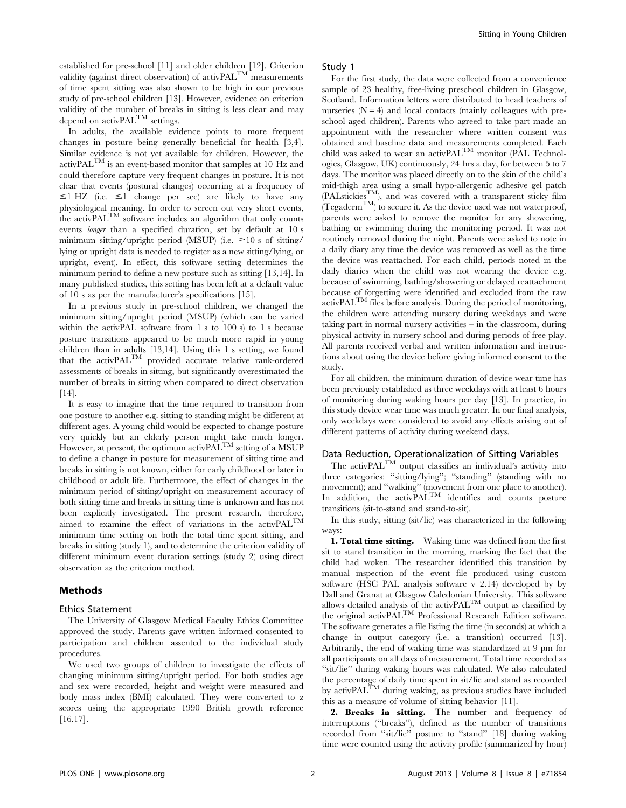established for pre-school [11] and older children [12]. Criterion validity (against direct observation) of activPAL<sup>TM</sup> measurements of time spent sitting was also shown to be high in our previous study of pre-school children [13]. However, evidence on criterion validity of the number of breaks in sitting is less clear and may depend on activPAL<sup>TM</sup> settings.

In adults, the available evidence points to more frequent changes in posture being generally beneficial for health [3,4]. Similar evidence is not yet available for children. However, the activPALTM is an event-based monitor that samples at 10 Hz and could therefore capture very frequent changes in posture. It is not clear that events (postural changes) occurring at a frequency of  $\leq$ 1 HZ (i.e.  $\leq$ 1 change per sec) are likely to have any physiological meaning. In order to screen out very short events, the activPALTM software includes an algorithm that only counts events longer than a specified duration, set by default at 10 s minimum sitting/upright period (MSUP) (i.e.  $\geq 10$  s of sitting/ lying or upright data is needed to register as a new sitting/lying, or upright, event). In effect, this software setting determines the minimum period to define a new posture such as sitting [13,14]. In many published studies, this setting has been left at a default value of 10 s as per the manufacturer's specifications [15].

In a previous study in pre-school children, we changed the minimum sitting/upright period (MSUP) (which can be varied within the activPAL software from 1 s to 100 s) to 1 s because posture transitions appeared to be much more rapid in young children than in adults [13,14]. Using this 1 s setting, we found that the activPALTM provided accurate relative rank-ordered assessments of breaks in sitting, but significantly overestimated the number of breaks in sitting when compared to direct observation [14].

It is easy to imagine that the time required to transition from one posture to another e.g. sitting to standing might be different at different ages. A young child would be expected to change posture very quickly but an elderly person might take much longer. However, at present, the optimum activ $P\Delta L^{TM}$  setting of a MSUP to define a change in posture for measurement of sitting time and breaks in sitting is not known, either for early childhood or later in childhood or adult life. Furthermore, the effect of changes in the minimum period of sitting/upright on measurement accuracy of both sitting time and breaks in sitting time is unknown and has not been explicitly investigated. The present research, therefore, aimed to examine the effect of variations in the activPALTM minimum time setting on both the total time spent sitting, and breaks in sitting (study 1), and to determine the criterion validity of different minimum event duration settings (study 2) using direct observation as the criterion method.

## Methods

#### Ethics Statement

The University of Glasgow Medical Faculty Ethics Committee approved the study. Parents gave written informed consented to participation and children assented to the individual study procedures.

We used two groups of children to investigate the effects of changing minimum sitting/upright period. For both studies age and sex were recorded, height and weight were measured and body mass index (BMI) calculated. They were converted to z scores using the appropriate 1990 British growth reference [16,17].

#### Study 1

For the first study, the data were collected from a convenience sample of 23 healthy, free-living preschool children in Glasgow, Scotland. Information letters were distributed to head teachers of nurseries  $(N = 4)$  and local contacts (mainly colleagues with preschool aged children). Parents who agreed to take part made an appointment with the researcher where written consent was obtained and baseline data and measurements completed. Each child was asked to wear an activPAL<sup>TM</sup> monitor (PAL Technologies, Glasgow, UK) continuously, 24 hrs a day, for between 5 to 7 days. The monitor was placed directly on to the skin of the child's mid-thigh area using a small hypo-allergenic adhesive gel patch (PALstickiesTM), and was covered with a transparent sticky film  $(Tegaderm<sup>TM</sup>)$  to secure it. As the device used was not waterproof, parents were asked to remove the monitor for any showering, bathing or swimming during the monitoring period. It was not routinely removed during the night. Parents were asked to note in a daily diary any time the device was removed as well as the time the device was reattached. For each child, periods noted in the daily diaries when the child was not wearing the device e.g. because of swimming, bathing/showering or delayed reattachment because of forgetting were identified and excluded from the raw activPALTM files before analysis. During the period of monitoring, the children were attending nursery during weekdays and were taking part in normal nursery activities – in the classroom, during physical activity in nursery school and during periods of free play. All parents received verbal and written information and instructions about using the device before giving informed consent to the study.

For all children, the minimum duration of device wear time has been previously established as three weekdays with at least 6 hours of monitoring during waking hours per day [13]. In practice, in this study device wear time was much greater. In our final analysis, only weekdays were considered to avoid any effects arising out of different patterns of activity during weekend days.

#### Data Reduction, Operationalization of Sitting Variables

The activPAL<sup>TM</sup> output classifies an individual's activity into three categories: ''sitting/lying''; ''standing'' (standing with no movement); and "walking" (movement from one place to another). In addition, the  $\text{activPAL}^{\text{TM}}$  identifies and counts posture transitions (sit-to-stand and stand-to-sit).

In this study, sitting (sit/lie) was characterized in the following ways:

1. Total time sitting. Waking time was defined from the first sit to stand transition in the morning, marking the fact that the child had woken. The researcher identified this transition by manual inspection of the event file produced using custom software (HSC PAL analysis software v 2.14) developed by by Dall and Granat at Glasgow Caledonian University. This software allows detailed analysis of the activ $\text{PAL}^{\text{TM}}$  output as classified by the original activPALTM Professional Research Edition software. The software generates a file listing the time (in seconds) at which a change in output category (i.e. a transition) occurred [13]. Arbitrarily, the end of waking time was standardized at 9 pm for all participants on all days of measurement. Total time recorded as "sit/lie" during waking hours was calculated. We also calculated the percentage of daily time spent in sit/lie and stand as recorded by activPAL<sup>TM</sup> during waking, as previous studies have included this as a measure of volume of sitting behavior [11].

2. Breaks in sitting. The number and frequency of interruptions (''breaks''), defined as the number of transitions recorded from ''sit/lie'' posture to ''stand'' [18] during waking time were counted using the activity profile (summarized by hour)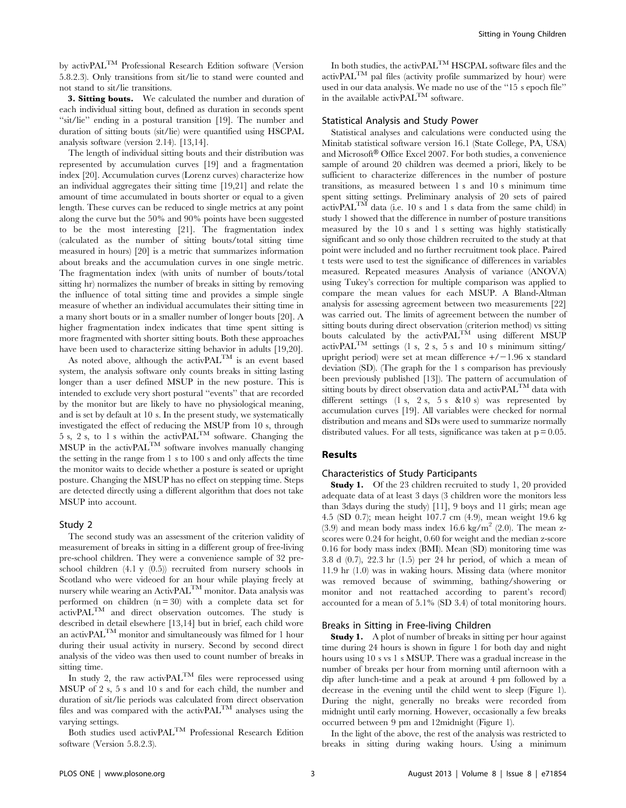by activPALTM Professional Research Edition software (Version 5.8.2.3). Only transitions from sit/lie to stand were counted and not stand to sit/lie transitions.

3. Sitting bouts. We calculated the number and duration of each individual sitting bout, defined as duration in seconds spent "sit/lie" ending in a postural transition [19]. The number and duration of sitting bouts (sit/lie) were quantified using HSCPAL analysis software (version 2.14). [13,14].

The length of individual sitting bouts and their distribution was represented by accumulation curves [19] and a fragmentation index [20]. Accumulation curves (Lorenz curves) characterize how an individual aggregates their sitting time [19,21] and relate the amount of time accumulated in bouts shorter or equal to a given length. These curves can be reduced to single metrics at any point along the curve but the 50% and 90% points have been suggested to be the most interesting [21]. The fragmentation index (calculated as the number of sitting bouts/total sitting time measured in hours) [20] is a metric that summarizes information about breaks and the accumulation curves in one single metric. The fragmentation index (with units of number of bouts/total sitting hr) normalizes the number of breaks in sitting by removing the influence of total sitting time and provides a simple single measure of whether an individual accumulates their sitting time in a many short bouts or in a smaller number of longer bouts [20]. A higher fragmentation index indicates that time spent sitting is more fragmented with shorter sitting bouts. Both these approaches have been used to characterize sitting behavior in adults [19,20].

As noted above, although the  $\overline{\text{activePAL}}^{\text{TM}}$  is an event based system, the analysis software only counts breaks in sitting lasting longer than a user defined MSUP in the new posture. This is intended to exclude very short postural ''events'' that are recorded by the monitor but are likely to have no physiological meaning, and is set by default at 10 s. In the present study, we systematically investigated the effect of reducing the MSUP from 10 s, through 5 s, 2 s, to 1 s within the activPAL<sup>TM</sup> software. Changing the MSUP in the activ $\text{PAL}^{\text{TM}}$  software involves manually changing the setting in the range from 1 s to 100 s and only affects the time the monitor waits to decide whether a posture is seated or upright posture. Changing the MSUP has no effect on stepping time. Steps are detected directly using a different algorithm that does not take MSUP into account.

## Study 2

The second study was an assessment of the criterion validity of measurement of breaks in sitting in a different group of free-living pre-school children. They were a convenience sample of 32 preschool children (4.1 y (0.5)) recruited from nursery schools in Scotland who were videoed for an hour while playing freely at nursery while wearing an ActivPAL<sup>TM</sup> monitor. Data analysis was performed on children  $(n = 30)$  with a complete data set for activPALTM and direct observation outcomes. The study is described in detail elsewhere [13,14] but in brief, each child wore an activPAL $^{\rm TM}$  monitor and simultaneously was filmed for 1 hour during their usual activity in nursery. Second by second direct analysis of the video was then used to count number of breaks in sitting time.

In study 2, the raw activPAL<sup>TM</sup> files were reprocessed using MSUP of 2 s, 5 s and 10 s and for each child, the number and duration of sit/lie periods was calculated from direct observation files and was compared with the activPALTM analyses using the varying settings.

Both studies used activPAL<sup>TM</sup> Professional Research Edition software (Version 5.8.2.3).

In both studies, the activPAL<sup>TM</sup> HSCPAL software files and the  $\text{activity}$  pal files (activity profile summarized by hour) were used in our data analysis. We made no use of the ''15 s epoch file'' in the available activPAL  $^{\rm TM}$  software.

## Statistical Analysis and Study Power

Statistical analyses and calculations were conducted using the Minitab statistical software version 16.1 (State College, PA, USA) and Microsoft<sup>®</sup> Office Excel 2007. For both studies, a convenience sample of around 20 children was deemed a priori, likely to be sufficient to characterize differences in the number of posture transitions, as measured between 1 s and 10 s minimum time spent sitting settings. Preliminary analysis of 20 sets of paired  $\arctivPAL^{TM}$  data (i.e. 10 s and 1 s data from the same child) in study 1 showed that the difference in number of posture transitions measured by the 10 s and 1 s setting was highly statistically significant and so only those children recruited to the study at that point were included and no further recruitment took place. Paired t tests were used to test the significance of differences in variables measured. Repeated measures Analysis of variance (ANOVA) using Tukey's correction for multiple comparison was applied to compare the mean values for each MSUP. A Bland-Altman analysis for assessing agreement between two measurements [22] was carried out. The limits of agreement between the number of sitting bouts during direct observation (criterion method) vs sitting bouts calculated by the activPAL<sup>TM</sup> using different MSUP activPAL<sup>TM</sup> settings (1 s, 2 s, 5 s and 10 s minimum sitting/ upright period) were set at mean difference  $+/-1.96$  x standard deviation (SD). (The graph for the 1 s comparison has previously been previously published [13]). The pattern of accumulation of sitting bouts by direct observation data and activPAL<sup>TM</sup> data with different settings (1 s, 2 s, 5 s &10 s) was represented by accumulation curves [19]. All variables were checked for normal distribution and means and SDs were used to summarize normally distributed values. For all tests, significance was taken at  $p = 0.05$ .

#### Results

#### Characteristics of Study Participants

Study 1. Of the 23 children recruited to study 1, 20 provided adequate data of at least 3 days (3 children wore the monitors less than 3days during the study) [11], 9 boys and 11 girls; mean age 4.5 (SD 0.7); mean height 107.7 cm (4.9), mean weight 19.6 kg  $(3.9)$  and mean body mass index 16.6 kg/m<sup>2</sup> (2.0). The mean zscores were 0.24 for height, 0.60 for weight and the median z-score 0.16 for body mass index (BMI). Mean (SD) monitoring time was 3.8 d (0.7), 22.3 hr (1.5) per 24 hr period, of which a mean of 11.9 hr (1.0) was in waking hours. Missing data (where monitor was removed because of swimming, bathing/showering or monitor and not reattached according to parent's record) accounted for a mean of 5.1% (SD 3.4) of total monitoring hours.

#### Breaks in Sitting in Free-living Children

Study 1. A plot of number of breaks in sitting per hour against time during 24 hours is shown in figure 1 for both day and night hours using 10 s vs 1 s MSUP. There was a gradual increase in the number of breaks per hour from morning until afternoon with a dip after lunch-time and a peak at around 4 pm followed by a decrease in the evening until the child went to sleep (Figure 1). During the night, generally no breaks were recorded from midnight until early morning. However, occasionally a few breaks occurred between 9 pm and 12midnight (Figure 1).

In the light of the above, the rest of the analysis was restricted to breaks in sitting during waking hours. Using a minimum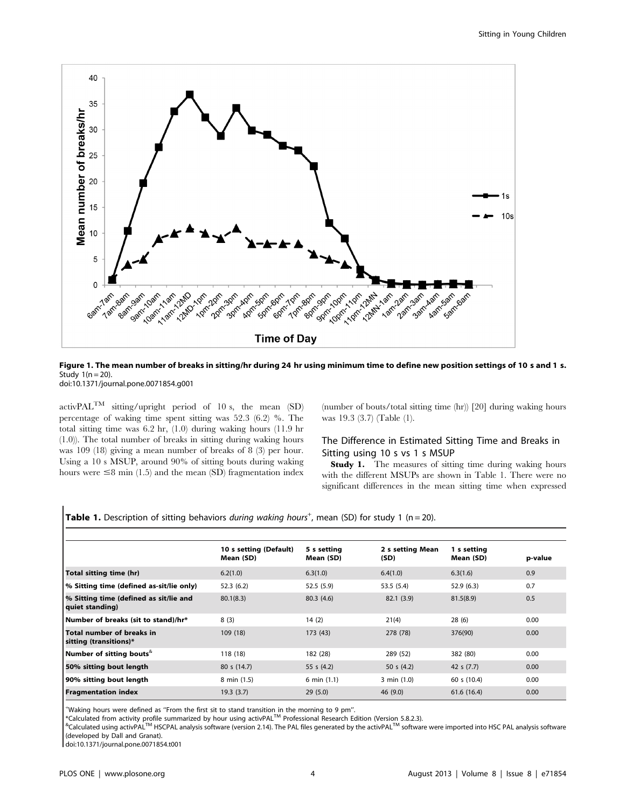

Figure 1. The mean number of breaks in sitting/hr during 24 hr using minimum time to define new position settings of 10 s and 1 s. Study  $1(n = 20)$ .

doi:10.1371/journal.pone.0071854.g001

 $\text{activityPAL}^{\text{TM}}$  sitting/upright period of 10 s, the mean (SD) percentage of waking time spent sitting was 52.3 (6.2) %. The total sitting time was 6.2 hr, (1.0) during waking hours (11.9 hr (1.0)). The total number of breaks in sitting during waking hours was 109 (18) giving a mean number of breaks of 8 (3) per hour. Using a 10 s MSUP, around 90% of sitting bouts during waking hours were  $\leq$ 8 min (1.5) and the mean (SD) fragmentation index (number of bouts/total sitting time (hr)) [20] during waking hours was 19.3 (3.7) (Table (1).

## The Difference in Estimated Sitting Time and Breaks in Sitting using 10 s vs 1 s MSUP

Study 1. The measures of sitting time during waking hours with the different MSUPs are shown in Table 1. There were no significant differences in the mean sitting time when expressed

|  |  |  |  |  | <b>Table 1.</b> Description of sitting behaviors during waking hours <sup>+</sup> , mean (SD) for study 1 (n = 20). |  |
|--|--|--|--|--|---------------------------------------------------------------------------------------------------------------------|--|
|--|--|--|--|--|---------------------------------------------------------------------------------------------------------------------|--|

|                                                           | 10 s setting (Default)<br>Mean (SD) | 5 s setting<br>Mean (SD) | 2 s setting Mean<br>(SD) | 1 s setting<br>Mean (SD) | p-value |
|-----------------------------------------------------------|-------------------------------------|--------------------------|--------------------------|--------------------------|---------|
| Total sitting time (hr)                                   | 6.2(1.0)                            | 6.3(1.0)                 | 6.4(1.0)                 | 6.3(1.6)                 | 0.9     |
| % Sitting time (defined as-sit/lie only)                  | 52.3(6.2)                           | 52.5(5.9)                | 53.5(5.4)                | 52.9(6.3)                | 0.7     |
| % Sitting time (defined as sit/lie and<br>quiet standing) | 80.1(8.3)                           | 80.3(4.6)                | 82.1(3.9)                | 81.5(8.9)                | 0.5     |
| Number of breaks (sit to stand)/hr*                       | 8(3)                                | 14(2)                    | 21(4)                    | 28(6)                    | 0.00    |
| Total number of breaks in<br>sitting (transitions)*       | 109(18)                             | 173 (43)                 | 278 (78)                 | 376(90)                  | 0.00    |
| Number of sitting bouts                                   | 118 (18)                            | 182 (28)                 | 289 (52)                 | 382 (80)                 | 0.00    |
| 50% sitting bout length                                   | 80 s (14.7)                         | 55 s $(4.2)$             | 50 s $(4.2)$             | 42 s $(7.7)$             | 0.00    |
| 90% sitting bout length                                   | 8 min (1.5)                         | 6 min $(1.1)$            | 3 min (1.0)              | 60 s (10.4)              | 0.00    |
| <b>Fragmentation index</b>                                | 19.3(3.7)                           | 29(5.0)                  | 46 (9.0)                 | 61.6(16.4)               | 0.00    |

<sup>+</sup>Waking hours were defined as "From the first sit to stand transition in the morning to 9 pm".<br>\*Calculated from activity profile summarized by hour using activPAL™ Professional Research Edition (Version 5.8.2.3).<br><sup>&</sup>Cal (developed by Dall and Granat).

doi:10.1371/journal.pone.0071854.t001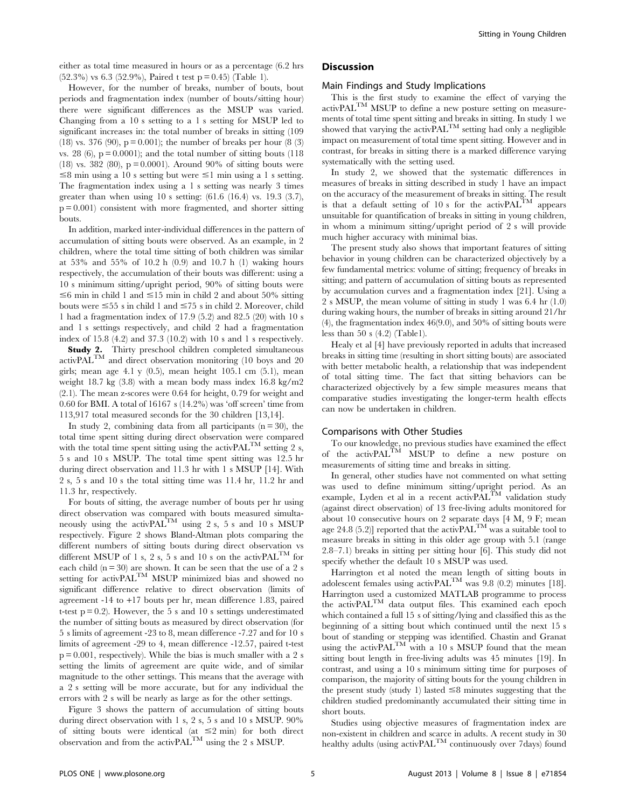either as total time measured in hours or as a percentage (6.2 hrs  $(52.3\%)$  vs 6.3 (52.9%), Paired t test p = 0.45) (Table 1).

However, for the number of breaks, number of bouts, bout periods and fragmentation index (number of bouts/sitting hour) there were significant differences as the MSUP was varied. Changing from a 10 s setting to a 1 s setting for MSUP led to significant increases in: the total number of breaks in sitting (109 (18) vs. 376 (90),  $p = 0.001$ ; the number of breaks per hour (8 (3) vs. 28 (6),  $p = 0.0001$ ; and the total number of sitting bouts (118) (18) vs. 382 (80),  $p = 0.0001$ ). Around 90% of sitting bouts were  $\leq$ 8 min using a 10 s setting but were  $\leq$ 1 min using a 1 s setting. The fragmentation index using a 1 s setting was nearly 3 times greater than when using 10 s setting:  $(61.6 \t(16.4) \text{ vs. } 19.3 \t(3.7))$ ,  $p = 0.001$  consistent with more fragmented, and shorter sitting bouts.

In addition, marked inter-individual differences in the pattern of accumulation of sitting bouts were observed. As an example, in 2 children, where the total time sitting of both children was similar at 53% and 55% of 10.2 h (0.9) and 10.7 h (1) waking hours respectively, the accumulation of their bouts was different: using a 10 s minimum sitting/upright period, 90% of sitting bouts were  $\leq$ 6 min in child 1 and  $\leq$ 15 min in child 2 and about 50% sitting bouts were  $\leq$ 55 s in child 1 and  $\leq$ 75 s in child 2. Moreover, child 1 had a fragmentation index of 17.9 (5.2) and 82.5 (20) with 10 s and 1 s settings respectively, and child 2 had a fragmentation index of 15.8 (4.2) and 37.3 (10.2) with 10 s and 1 s respectively.

Study 2. Thirty preschool children completed simultaneous activPALTM and direct observation monitoring (10 boys and 20 girls; mean age  $4.1$  y  $(0.5)$ , mean height 105.1 cm  $(5.1)$ , mean weight 18.7 kg (3.8) with a mean body mass index 16.8 kg/m2 (2.1). The mean z-scores were 0.64 for height, 0.79 for weight and 0.60 for BMI. A total of  $16167 s (14.2%)$  was 'off screen' time from 113,917 total measured seconds for the 30 children [13,14].

In study 2, combining data from all participants  $(n = 30)$ , the total time spent sitting during direct observation were compared with the total time spent sitting using the activPAL<sup>TM</sup> setting 2 s, 5 s and 10 s MSUP. The total time spent sitting was 12.5 hr during direct observation and 11.3 hr with 1 s MSUP [14]. With 2 s, 5 s and 10 s the total sitting time was 11.4 hr, 11.2 hr and 11.3 hr, respectively.

For bouts of sitting, the average number of bouts per hr using direct observation was compared with bouts measured simultaneously using the activ $\text{PAL}^{\text{TM}}$  using 2 s, 5 s and 10 s MSUP respectively. Figure 2 shows Bland-Altman plots comparing the different numbers of sitting bouts during direct observation vs different MSUP of 1 s, 2 s, 5 s and 10 s on the activPAL<sup>TM</sup> for each child ( $n = 30$ ) are shown. It can be seen that the use of a 2 s setting for activPAL<sup>TM</sup> MSUP minimized bias and showed no significant difference relative to direct observation (limits of agreement -14 to +17 bouts per hr, mean difference 1.83, paired t-test  $p = 0.2$ ). However, the 5 s and 10 s settings underestimated the number of sitting bouts as measured by direct observation (for 5 s limits of agreement -23 to 8, mean difference -7.27 and for 10 s limits of agreement -29 to 4, mean difference -12.57, paired t-test  $p = 0.001$ , respectively). While the bias is much smaller with a 2 s setting the limits of agreement are quite wide, and of similar magnitude to the other settings. This means that the average with a 2 s setting will be more accurate, but for any individual the errors with 2 s will be nearly as large as for the other settings.

Figure 3 shows the pattern of accumulation of sitting bouts during direct observation with 1 s, 2 s, 5 s and 10 s MSUP. 90% of sitting bouts were identical (at  $\leq$ 2 min) for both direct observation and from the activ $\text{PAL}^{\text{TM}}$  using the 2 s MSUP.

## **Discussion**

#### Main Findings and Study Implications

This is the first study to examine the effect of varying the  $\text{activityPAL}^{\text{TM}}$  MSUP to define a new posture setting on measurements of total time spent sitting and breaks in sitting. In study 1 we showed that varying the activ $\text{PAL}^{\text{TM}}$  setting had only a negligible impact on measurement of total time spent sitting. However and in contrast, for breaks in sitting there is a marked difference varying systematically with the setting used.

In study 2, we showed that the systematic differences in measures of breaks in sitting described in study 1 have an impact on the accuracy of the measurement of breaks in sitting. The result is that a default setting of 10 s for the activ $PAL^{TM}$  appears unsuitable for quantification of breaks in sitting in young children, in whom a minimum sitting/upright period of 2 s will provide much higher accuracy with minimal bias.

The present study also shows that important features of sitting behavior in young children can be characterized objectively by a few fundamental metrics: volume of sitting; frequency of breaks in sitting; and pattern of accumulation of sitting bouts as represented by accumulation curves and a fragmentation index [21]. Using a 2 s MSUP, the mean volume of sitting in study 1 was 6.4 hr (1.0) during waking hours, the number of breaks in sitting around 21/hr (4), the fragmentation index 46(9.0), and 50% of sitting bouts were less than 50 s (4.2) (Table1).

Healy et al [4] have previously reported in adults that increased breaks in sitting time (resulting in short sitting bouts) are associated with better metabolic health, a relationship that was independent of total sitting time. The fact that sitting behaviors can be characterized objectively by a few simple measures means that comparative studies investigating the longer-term health effects can now be undertaken in children.

#### Comparisons with Other Studies

To our knowledge, no previous studies have examined the effect of the activPAL<sup>TM</sup> MSUP to define a new posture on measurements of sitting time and breaks in sitting.

In general, other studies have not commented on what setting was used to define minimum sitting/upright period. As an example, Lyden et al in a recent activ $\text{PAL}^{\text{TM}}$  validation study (against direct observation) of 13 free-living adults monitored for about 10 consecutive hours on 2 separate days [4 M, 9 F; mean age 24.8 (5.2)] reported that the activPAL<sup>TM</sup> was a suitable tool to measure breaks in sitting in this older age group with 5.1 (range 2.8–7.1) breaks in sitting per sitting hour [6]. This study did not specify whether the default 10 s MSUP was used.

Harrington et al noted the mean length of sitting bouts in adolescent females using activPAL<sup>TM</sup> was 9.8 (0.2) minutes [18]. Harrington used a customized MATLAB programme to process the activPALTM data output files. This examined each epoch which contained a full 15 s of sitting/lying and classified this as the beginning of a sitting bout which continued until the next 15 s bout of standing or stepping was identified. Chastin and Granat using the activ $\widetilde{PAL}^{TM}$  with a 10 s MSUP found that the mean sitting bout length in free-living adults was 45 minutes [19]. In contrast, and using a 10 s minimum sitting time for purposes of comparison, the majority of sitting bouts for the young children in the present study (study 1) lasted  $\leq$ 8 minutes suggesting that the children studied predominantly accumulated their sitting time in short bouts.

Studies using objective measures of fragmentation index are non-existent in children and scarce in adults. A recent study in 30 healthy adults (using  $\text{activity}(T_M \text{ and } T_M \text{)$  continuously over 7days) found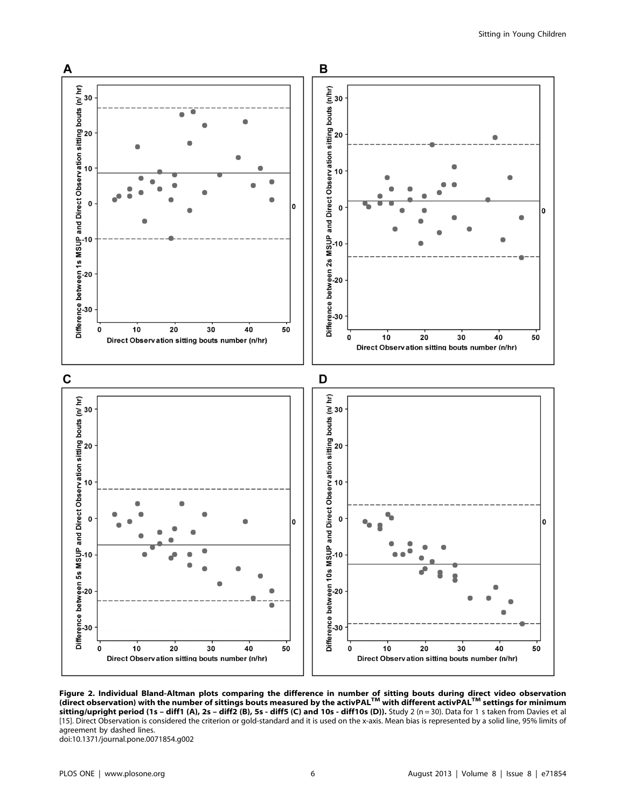

Figure 2. Individual Bland-Altman plots comparing the difference in number of sitting bouts during direct video observation<br>(direct observation) with the number of sittings bouts measured by the activPAL™ with different a sitting/upright period (1s - diff1 (A), 2s - diff2 (B), 5s - diff5 (C) and 10s - diff10s (D)). Study 2 (n = 30). Data for 1 s taken from Davies et al [15]. Direct Observation is considered the criterion or gold-standard and it is used on the x-axis. Mean bias is represented by a solid line, 95% limits of agreement by dashed lines.

doi:10.1371/journal.pone.0071854.g002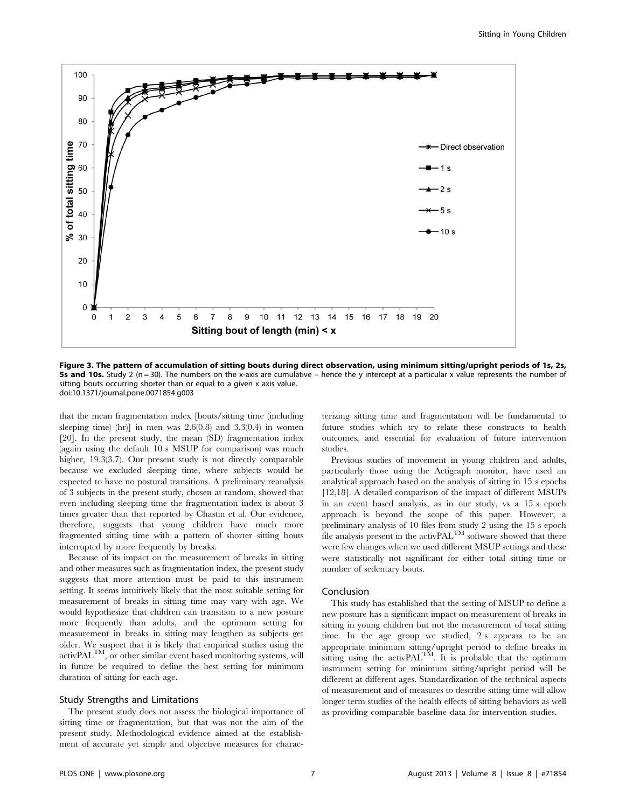

Figure 3. The pattern of accumulation of sitting bouts during direct observation, using minimum sitting/upright periods of 1s, 2s, **5s and 10s.** Study 2 (n = 30). The numbers on the x-axis are cumulative – hence the y intercept at a particular x value represents the number of sitting bouts occurring shorter than or equal to a given x axis value. doi:10.1371/journal.pone.0071854.g003

that the mean fragmentation index [bouts/sitting time (including sleeping time) (hr)] in men was  $2.6(0.8)$  and  $3.3(0.4)$  in women [20]. In the present study, the mean (SD) fragmentation index (again using the default 10 s MSUP for comparison) was much higher, 19.3(3.7). Our present study is not directly comparable because we excluded sleeping time, where subjects would be expected to have no postural transitions. A preliminary reanalysis of 3 subjects in the present study, chosen at random, showed that even including sleeping time the fragmentation index is about 3 times greater than that reported by Chastin et al. Our evidence, therefore, suggests that young children have much more fragmented sitting time with a pattern of shorter sitting bouts interrupted by more frequently by breaks.

Because of its impact on the measurement of breaks in sitting and other measures such as fragmentation index, the present study suggests that more attention must be paid to this instrument setting. It seems intuitively likely that the most suitable setting for measurement of breaks in sitting time may vary with age. We would hypothesize that children can transition to a new posture more frequently than adults, and the optimum setting for measurement in breaks in sitting may lengthen as subjects get older. We suspect that it is likely that empirical studies using the activPALTM, or other similar event based monitoring systems, will in future be required to define the best setting for minimum duration of sitting for each age.

#### Study Strengths and Limitations

The present study does not assess the biological importance of sitting time or fragmentation, but that was not the aim of the present study. Methodological evidence aimed at the establishment of accurate yet simple and objective measures for characterizing sitting time and fragmentation will be fundamental to future studies which try to relate these constructs to health outcomes, and essential for evaluation of future intervention studies.

Previous studies of movement in young children and adults, particularly those using the Actigraph monitor, have used an analytical approach based on the analysis of sitting in 15 s epochs [12,18]. A detailed comparison of the impact of different MSUPs in an event based analysis, as in our study, vs a 15 s epoch approach is beyond the scope of this paper. However, a preliminary analysis of 10 files from study 2 using the 15 s epoch file analysis present in the activ $PAL^{TM}$  software showed that there were few changes when we used different MSUP settings and these were statistically not significant for either total sitting time or number of sedentary bouts.

#### Conclusion

This study has established that the setting of MSUP to define a new posture has a significant impact on measurement of breaks in sitting in young children but not the measurement of total sitting time. In the age group we studied, 2 s appears to be an appropriate minimum sitting/upright period to define breaks in sitting using the activ $PAL^{TM}$ . It is probable that the optimum instrument setting for minimum sitting/upright period will be different at different ages. Standardization of the technical aspects of measurement and of measures to describe sitting time will allow longer term studies of the health effects of sitting behaviors as well as providing comparable baseline data for intervention studies.